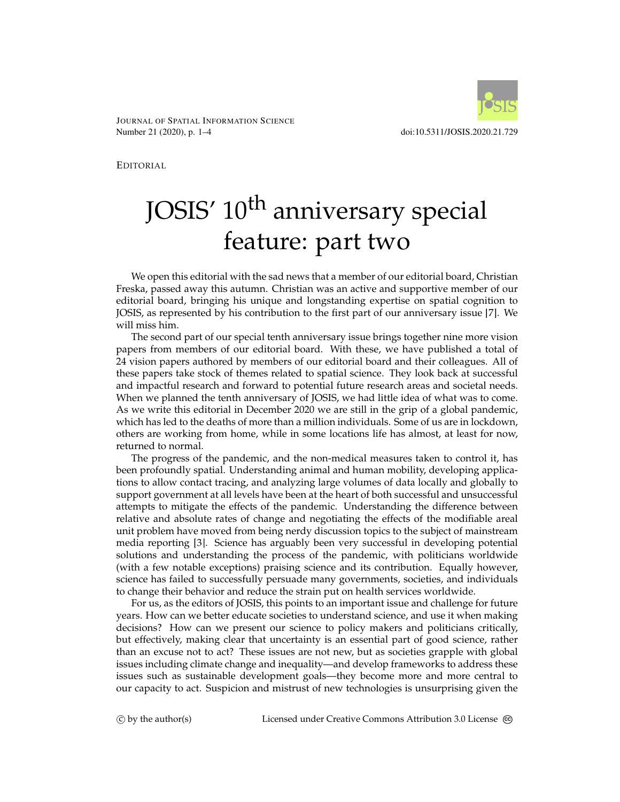

JOURNAL OF SPATIAL INFORMATION SCIENCE Number 21 (2020), p. 1–4 doi:10.5311/JOSIS.2020.21.729

EDITORIAL

## JOSIS' 10<sup>th</sup> anniversary special feature: part two

We open this editorial with the sad news that a member of our editorial board, Christian Freska, passed away this autumn. Christian was an active and supportive member of our editorial board, bringing his unique and longstanding expertise on spatial cognition to JOSIS, as represented by his contribution to the first part of our anniversary issue [\[7\]](#page-2-0). We will miss him.

The second part of our special tenth anniversary issue brings together nine more vision papers from members of our editorial board. With these, we have published a total of 24 vision papers authored by members of our editorial board and their colleagues. All of these papers take stock of themes related to spatial science. They look back at successful and impactful research and forward to potential future research areas and societal needs. When we planned the tenth anniversary of JOSIS, we had little idea of what was to come. As we write this editorial in December 2020 we are still in the grip of a global pandemic, which has led to the deaths of more than a million individuals. Some of us are in lockdown, others are working from home, while in some locations life has almost, at least for now, returned to normal.

The progress of the pandemic, and the non-medical measures taken to control it, has been profoundly spatial. Understanding animal and human mobility, developing applications to allow contact tracing, and analyzing large volumes of data locally and globally to support government at all levels have been at the heart of both successful and unsuccessful attempts to mitigate the effects of the pandemic. Understanding the difference between relative and absolute rates of change and negotiating the effects of the modifiable areal unit problem have moved from being nerdy discussion topics to the subject of mainstream media reporting [\[3\]](#page-2-1). Science has arguably been very successful in developing potential solutions and understanding the process of the pandemic, with politicians worldwide (with a few notable exceptions) praising science and its contribution. Equally however, science has failed to successfully persuade many governments, societies, and individuals to change their behavior and reduce the strain put on health services worldwide.

For us, as the editors of JOSIS, this points to an important issue and challenge for future years. How can we better educate societies to understand science, and use it when making decisions? How can we present our science to policy makers and politicians critically, but effectively, making clear that uncertainty is an essential part of good science, rather than an excuse not to act? These issues are not new, but as societies grapple with global issues including climate change and inequality—and develop frameworks to address these issues such as sustainable development goals—they become more and more central to our capacity to act. Suspicion and mistrust of new technologies is unsurprising given the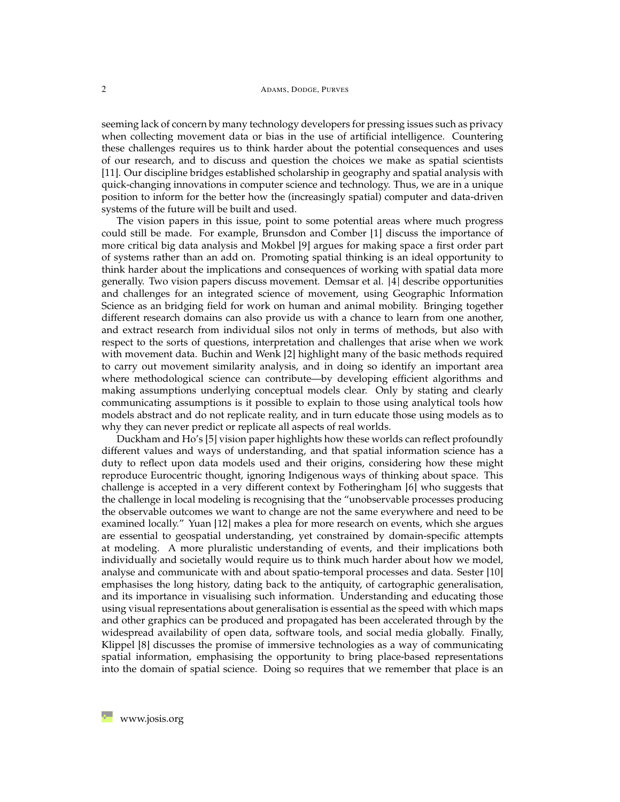## 2 ADAMS, DODGE, PURVES

seeming lack of concern by many technology developers for pressing issues such as privacy when collecting movement data or bias in the use of artificial intelligence. Countering these challenges requires us to think harder about the potential consequences and uses of our research, and to discuss and question the choices we make as spatial scientists [\[11\]](#page-3-0). Our discipline bridges established scholarship in geography and spatial analysis with quick-changing innovations in computer science and technology. Thus, we are in a unique position to inform for the better how the (increasingly spatial) computer and data-driven systems of the future will be built and used.

The vision papers in this issue, point to some potential areas where much progress could still be made. For example, Brunsdon and Comber [\[1\]](#page-2-2) discuss the importance of more critical big data analysis and Mokbel [\[9\]](#page-3-1) argues for making space a first order part of systems rather than an add on. Promoting spatial thinking is an ideal opportunity to think harder about the implications and consequences of working with spatial data more generally. Two vision papers discuss movement. Demsar et al. [\[4\]](#page-2-3) describe opportunities and challenges for an integrated science of movement, using Geographic Information Science as an bridging field for work on human and animal mobility. Bringing together different research domains can also provide us with a chance to learn from one another, and extract research from individual silos not only in terms of methods, but also with respect to the sorts of questions, interpretation and challenges that arise when we work with movement data. Buchin and Wenk [\[2\]](#page-2-4) highlight many of the basic methods required to carry out movement similarity analysis, and in doing so identify an important area where methodological science can contribute—by developing efficient algorithms and making assumptions underlying conceptual models clear. Only by stating and clearly communicating assumptions is it possible to explain to those using analytical tools how models abstract and do not replicate reality, and in turn educate those using models as to why they can never predict or replicate all aspects of real worlds.

Duckham and Ho's [\[5\]](#page-2-5) vision paper highlights how these worlds can reflect profoundly different values and ways of understanding, and that spatial information science has a duty to reflect upon data models used and their origins, considering how these might reproduce Eurocentric thought, ignoring Indigenous ways of thinking about space. This challenge is accepted in a very different context by Fotheringham [\[6\]](#page-2-6) who suggests that the challenge in local modeling is recognising that the "unobservable processes producing the observable outcomes we want to change are not the same everywhere and need to be examined locally." Yuan [\[12\]](#page-3-2) makes a plea for more research on events, which she argues are essential to geospatial understanding, yet constrained by domain-specific attempts at modeling. A more pluralistic understanding of events, and their implications both individually and societally would require us to think much harder about how we model, analyse and communicate with and about spatio-temporal processes and data. Sester [\[10\]](#page-3-3) emphasises the long history, dating back to the antiquity, of cartographic generalisation, and its importance in visualising such information. Understanding and educating those using visual representations about generalisation is essential as the speed with which maps and other graphics can be produced and propagated has been accelerated through by the widespread availability of open data, software tools, and social media globally. Finally, Klippel [\[8\]](#page-3-4) discusses the promise of immersive technologies as a way of communicating spatial information, emphasising the opportunity to bring place-based representations into the domain of spatial science. Doing so requires that we remember that place is an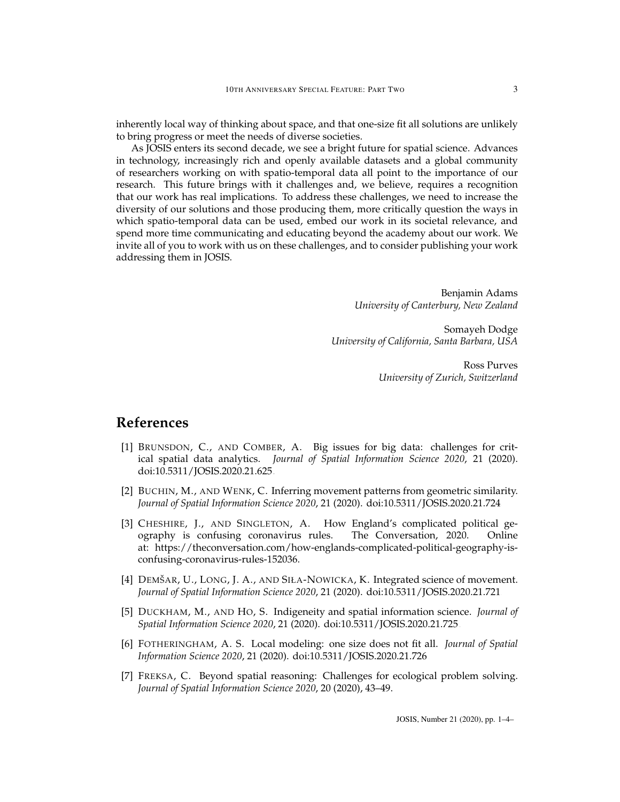inherently local way of thinking about space, and that one-size fit all solutions are unlikely to bring progress or meet the needs of diverse societies.

As JOSIS enters its second decade, we see a bright future for spatial science. Advances in technology, increasingly rich and openly available datasets and a global community of researchers working on with spatio-temporal data all point to the importance of our research. This future brings with it challenges and, we believe, requires a recognition that our work has real implications. To address these challenges, we need to increase the diversity of our solutions and those producing them, more critically question the ways in which spatio-temporal data can be used, embed our work in its societal relevance, and spend more time communicating and educating beyond the academy about our work. We invite all of you to work with us on these challenges, and to consider publishing your work addressing them in JOSIS.

> Benjamin Adams *University of Canterbury, New Zealand*

Somayeh Dodge *University of California, Santa Barbara, USA*

> Ross Purves *University of Zurich, Switzerland*

## **References**

- <span id="page-2-2"></span>[1] BRUNSDON, C., AND COMBER, A. Big issues for big data: challenges for critical spatial data analytics. *Journal of Spatial Information Science 2020*, 21 (2020). [doi:10.5311/JOSIS.2020.21.625.](http://dx.doi.org/10.5311/JOSIS.2020.21.625)
- <span id="page-2-4"></span>[2] BUCHIN, M., AND WENK, C. Inferring movement patterns from geometric similarity. *Journal of Spatial Information Science 2020*, 21 (2020). [doi:10.5311/JOSIS.2020.21.724.](http://dx.doi.org/10.5311/JOSIS.2020.21.724)
- <span id="page-2-1"></span>[3] CHESHIRE, J., AND SINGLETON, A. How England's complicated political geography is confusing coronavirus rules. The Conversation, 2020. Online at: https://theconversation.com/how-englands-complicated-political-geography-isconfusing-coronavirus-rules-152036.
- <span id="page-2-3"></span>[4] DEMŠAR, U., LONG, J. A., AND SIŁA-NOWICKA, K. Integrated science of movement. *Journal of Spatial Information Science 2020*, 21 (2020). [doi:10.5311/JOSIS.2020.21.721.](http://dx.doi.org/10.5311/JOSIS.2020.21.721)
- <span id="page-2-5"></span>[5] DUCKHAM, M., AND HO, S. Indigeneity and spatial information science. *Journal of Spatial Information Science 2020*, 21 (2020). [doi:10.5311/JOSIS.2020.21.725.](http://dx.doi.org/10.5311/JOSIS.2020.21.725)
- <span id="page-2-6"></span>[6] FOTHERINGHAM, A. S. Local modeling: one size does not fit all. *Journal of Spatial Information Science 2020*, 21 (2020). [doi:10.5311/JOSIS.2020.21.726.](http://dx.doi.org/10.5311/JOSIS.2020.21.726)
- <span id="page-2-0"></span>[7] FREKSA, C. Beyond spatial reasoning: Challenges for ecological problem solving. *Journal of Spatial Information Science 2020*, 20 (2020), 43–49.